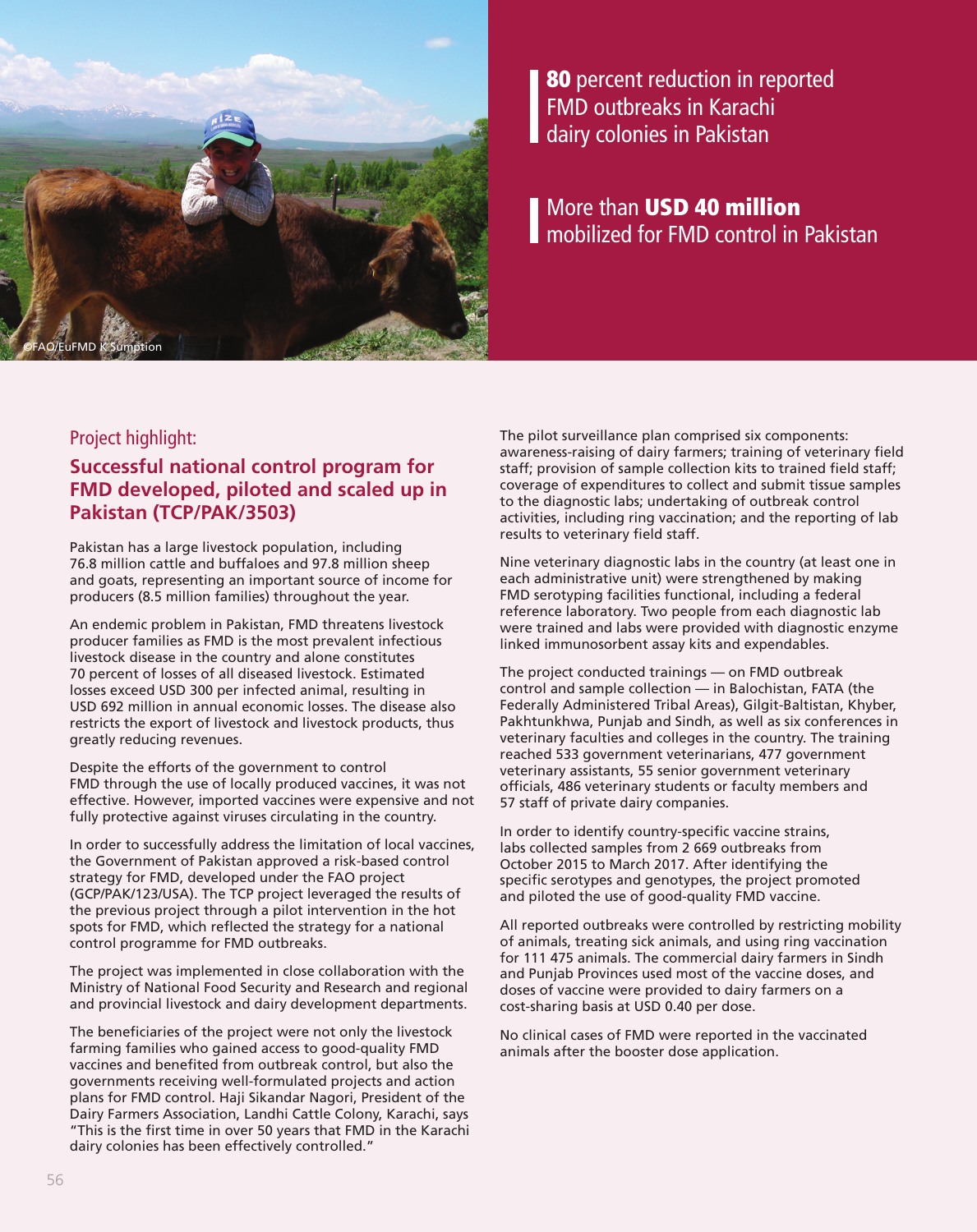

80 percent reduction in reported FMD outbreaks in Karachi **dairy colonies in Pakistan** 

More than USD 40 million **n** mobilized for FMD control in Pakistan

## Project highlight:

# **Successful national control program for FMD developed, piloted and scaled up in Pakistan (TCP/PAK/3503)**

Pakistan has a large livestock population, including 76.8 million cattle and buffaloes and 97.8 million sheep and goats, representing an important source of income for producers (8.5 million families) throughout the year.

An endemic problem in Pakistan, FMD threatens livestock producer families as FMD is the most prevalent infectious livestock disease in the country and alone constitutes 70 percent of losses of all diseased livestock. Estimated losses exceed USD 300 per infected animal, resulting in USD 692 million in annual economic losses. The disease also restricts the export of livestock and livestock products, thus greatly reducing revenues.

Despite the efforts of the government to control FMD through the use of locally produced vaccines, it was not effective. However, imported vaccines were expensive and not fully protective against viruses circulating in the country.

In order to successfully address the limitation of local vaccines, the Government of Pakistan approved a risk-based control strategy for FMD, developed under the FAO project (GCP/PAK/123/USA). The TCP project leveraged the results of the previous project through a pilot intervention in the hot spots for FMD, which reflected the strategy for a national control programme for FMD outbreaks.

The project was implemented in close collaboration with the Ministry of National Food Security and Research and regional and provincial livestock and dairy development departments.

The beneficiaries of the project were not only the livestock farming families who gained access to good-quality FMD vaccines and benefited from outbreak control, but also the governments receiving well-formulated projects and action plans for FMD control. Haji Sikandar Nagori, President of the Dairy Farmers Association, Landhi Cattle Colony, Karachi, says "This is the first time in over 50 years that FMD in the Karachi dairy colonies has been effectively controlled."

The pilot surveillance plan comprised six components: awareness-raising of dairy farmers; training of veterinary field staff; provision of sample collection kits to trained field staff; coverage of expenditures to collect and submit tissue samples to the diagnostic labs; undertaking of outbreak control activities, including ring vaccination; and the reporting of lab results to veterinary field staff.

Nine veterinary diagnostic labs in the country (at least one in each administrative unit) were strengthened by making FMD serotyping facilities functional, including a federal reference laboratory. Two people from each diagnostic lab were trained and labs were provided with diagnostic enzyme linked immunosorbent assay kits and expendables.

The project conducted trainings — on FMD outbreak control and sample collection — in Balochistan, FATA (the Federally Administered Tribal Areas), Gilgit-Baltistan, Khyber, Pakhtunkhwa, Punjab and Sindh, as well as six conferences in veterinary faculties and colleges in the country. The training reached 533 government veterinarians, 477 government veterinary assistants, 55 senior government veterinary officials, 486 veterinary students or faculty members and 57 staff of private dairy companies.

In order to identify country-specific vaccine strains, labs collected samples from 2 669 outbreaks from October 2015 to March 2017. After identifying the specific serotypes and genotypes, the project promoted and piloted the use of good-quality FMD vaccine.

All reported outbreaks were controlled by restricting mobility of animals, treating sick animals, and using ring vaccination for 111 475 animals. The commercial dairy farmers in Sindh and Punjab Provinces used most of the vaccine doses, and doses of vaccine were provided to dairy farmers on a cost-sharing basis at USD 0.40 per dose.

No clinical cases of FMD were reported in the vaccinated animals after the booster dose application.